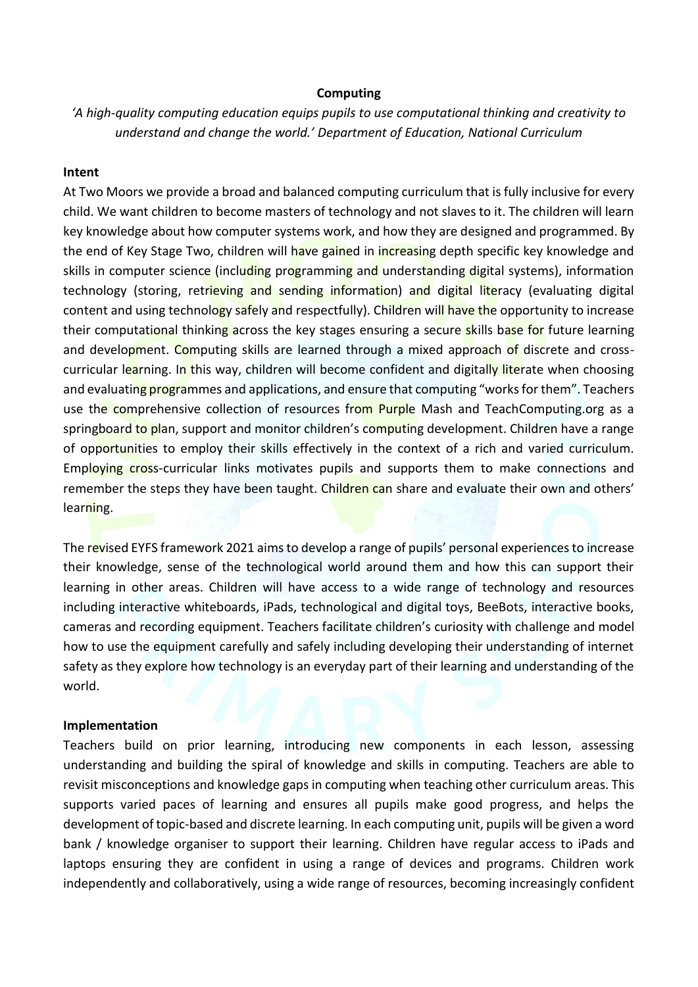## **Computing**

*'A high-quality computing education equips pupils to use computational thinking and creativity to understand and change the world.' Department of Education, National Curriculum*

## **Intent**

At Two Moors we provide a broad and balanced computing curriculum that is fully inclusive for every child. We want children to become masters of technology and not slaves to it. The children will learn key knowledge about how computer systems work, and how they are designed and programmed. By the end of Key Stage Two, children will have gained in increasing depth specific key knowledge and skills in computer science (including programming and understanding digital systems), information technology (storing, retrieving and sending information) and digital literacy (evaluating digital content and using technology safely and respectfully). Children will have the opportunity to increase their computational thinking across the key stages ensuring a secure skills base for future learning and development. Computing skills are learned through a mixed approach of discrete and crosscurricular learning. In this way, children will become confident and digitally literate when choosing and evaluating programmes and applications, and ensure that computing "works for them". Teachers use the comprehensive collection of resources from Purple Mash and TeachComputing.org as a springboard to plan, support and monitor children's computing development. Children have a range of opportunities to employ their skills effectively in the context of a rich and varied curriculum. Employing cross-curricular links motivates pupils and supports them to make connections and remember the steps they have been taught. Children can share and evaluate their own and others' learning.

The revised EYFS framework 2021 aims to develop a range of pupils' personal experiences to increase their knowledge, sense of the technological world around them and how this can support their learning in other areas. Children will have access to a wide range of technology and resources including interactive whiteboards, iPads, technological and digital toys, BeeBots, interactive books, cameras and recording equipment. Teachers facilitate children's curiosity with challenge and model how to use the equipment carefully and safely including developing their understanding of internet safety as they explore how technology is an everyday part of their learning and understanding of the world.

## **Implementation**

Teachers build on prior learning, introducing new components in each lesson, assessing understanding and building the spiral of knowledge and skills in computing. Teachers are able to revisit misconceptions and knowledge gaps in computing when teaching other curriculum areas. This supports varied paces of learning and ensures all pupils make good progress, and helps the development of topic-based and discrete learning. In each computing unit, pupils will be given a word bank / knowledge organiser to support their learning. Children have regular access to iPads and laptops ensuring they are confident in using a range of devices and programs. Children work independently and collaboratively, using a wide range of resources, becoming increasingly confident